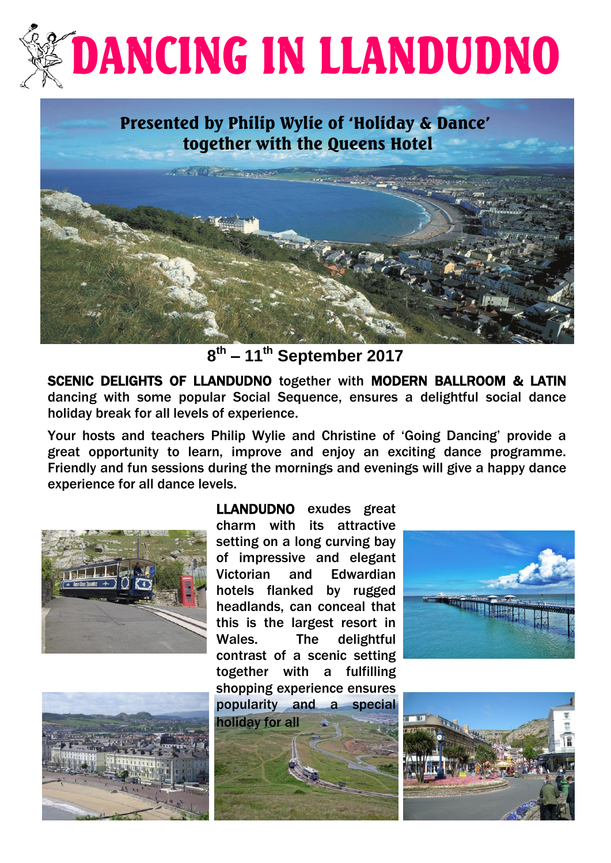# **DANCING IN LLANDUDNO**

## Presented by Philip Wylie of 'Holiday & Dance' together with the Queens Hotel



**8 th – 11th September 2017**

SCENIC DELIGHTS OF LLANDUDNO together with MODERN BALLROOM & LATIN dancing with some popular Social Sequence, ensures a delightful social dance holiday break for all levels of experience.

 Your hosts and teachers Philip Wylie and Christine of 'Going Dancing' provide a great opportunity to learn, improve and enjoy an exciting dance programme. Friendly and fun sessions during the mornings and evenings will give a happy dance experience for all dance levels.





LLANDUDNO exudes great charm with its attractive setting on a long curving bay of impressive and elegant Victorian and Edwardian hotels flanked by rugged headlands, can conceal that this is the largest resort in Wales. The delightful contrast of a scenic setting together with a fulfilling shopping experience ensures popularity and a special holiday for all